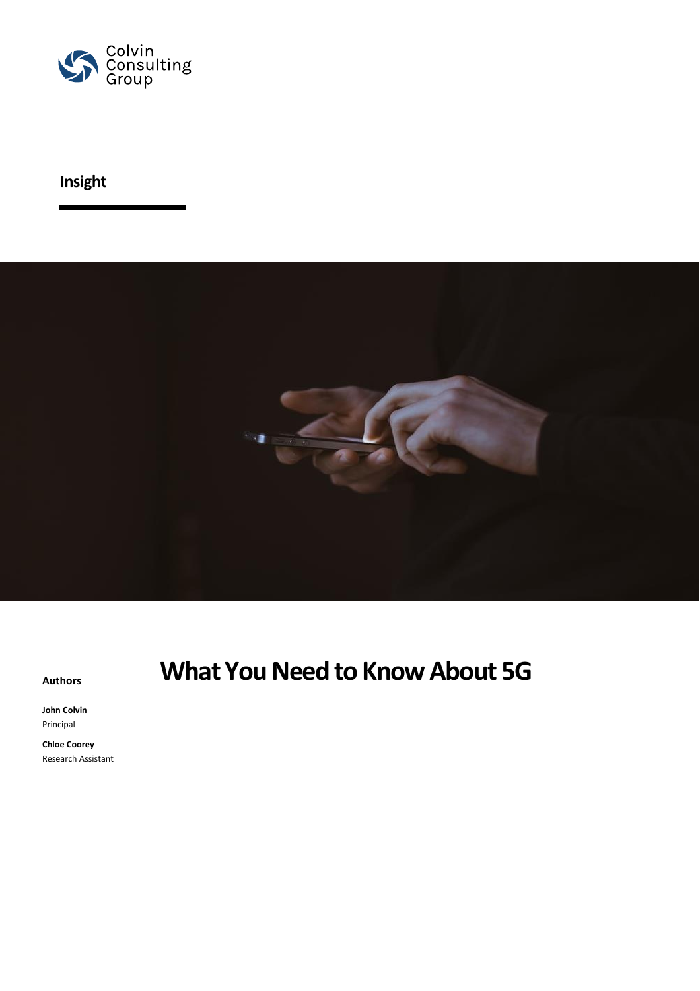

## **Insight**



**John Colvin** Principal

**Chloe Coorey** Research Assistant

# **Authors What You Need to Know About 5G**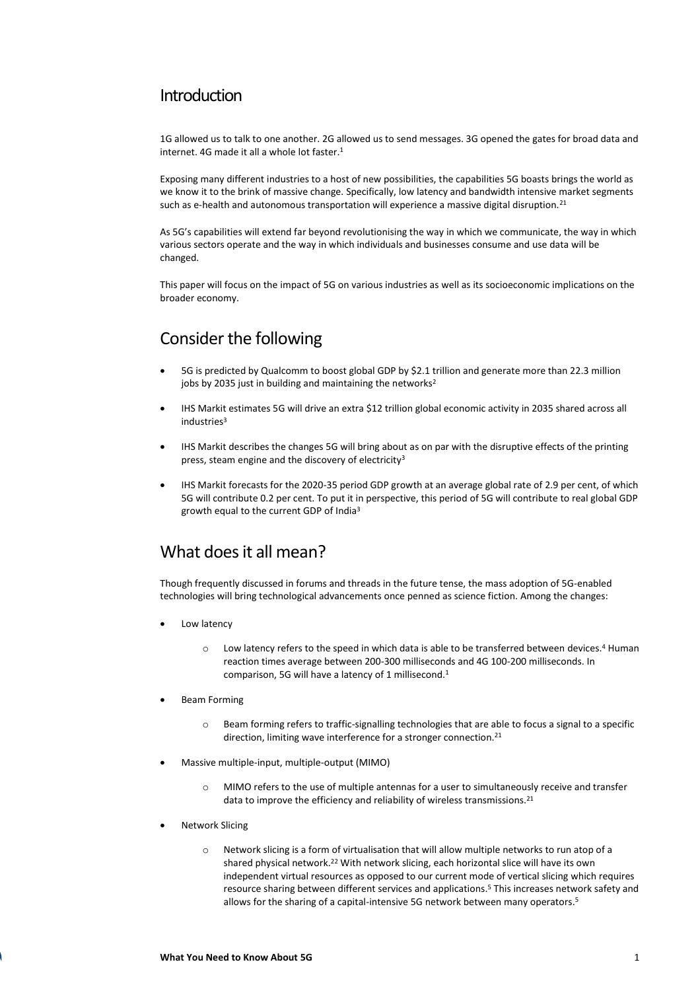#### Introduction

1G allowed us to talk to one another. 2G allowed us to send messages. 3G opened the gates for broad data and internet. 4G made it all a whole lot faster.<sup>1</sup>

Exposing many different industries to a host of new possibilities, the capabilities 5G boasts brings the world as we know it to the brink of massive change. Specifically, low latency and bandwidth intensive market segments such as e-health and autonomous transportation will experience a massive digital disruption.<sup>21</sup>

As 5G's capabilities will extend far beyond revolutionising the way in which we communicate, the way in which various sectors operate and the way in which individuals and businesses consume and use data will be changed.

This paper will focus on the impact of 5G on various industries as well as its socioeconomic implications on the broader economy.

### Consider the following

- 5G is predicted by Qualcomm to boost global GDP by \$2.1 trillion and generate more than 22.3 million jobs by 2035 just in building and maintaining the networks<sup>2</sup>
- IHS Markit estimates 5G will drive an extra \$12 trillion global economic activity in 2035 shared across all industries<sup>3</sup>
- IHS Markit describes the changes 5G will bring about as on par with the disruptive effects of the printing press, steam engine and the discovery of electricity<sup>3</sup>
- IHS Markit forecasts for the 2020-35 period GDP growth at an average global rate of 2.9 per cent, of which 5G will contribute 0.2 per cent. To put it in perspective, this period of 5G will contribute to real global GDP growth equal to the current GDP of India<sup>3</sup>

### What does it all mean?

Though frequently discussed in forums and threads in the future tense, the mass adoption of 5G-enabled technologies will bring technological advancements once penned as science fiction. Among the changes:

- Low latency
	- o Low latency refers to the speed in which data is able to be transferred between devices.<sup>4</sup> Human reaction times average between 200-300 milliseconds and 4G 100-200 milliseconds. In comparison, 5G will have a latency of 1 millisecond.<sup>1</sup>
- Beam Forming
	- o Beam forming refers to traffic-signalling technologies that are able to focus a signal to a specific direction, limiting wave interference for a stronger connection.<sup>21</sup>
- Massive multiple-input, multiple-output (MIMO)
	- o MIMO refers to the use of multiple antennas for a user to simultaneously receive and transfer data to improve the efficiency and reliability of wireless transmissions.<sup>21</sup>
- **Network Slicing** 
	- $\circ$  Network slicing is a form of virtualisation that will allow multiple networks to run atop of a shared physical network.<sup>22</sup> With network slicing, each horizontal slice will have its own independent virtual resources as opposed to our current mode of vertical slicing which requires resource sharing between different services and applications. <sup>5</sup> This increases network safety and allows for the sharing of a capital-intensive 5G network between many operators. 5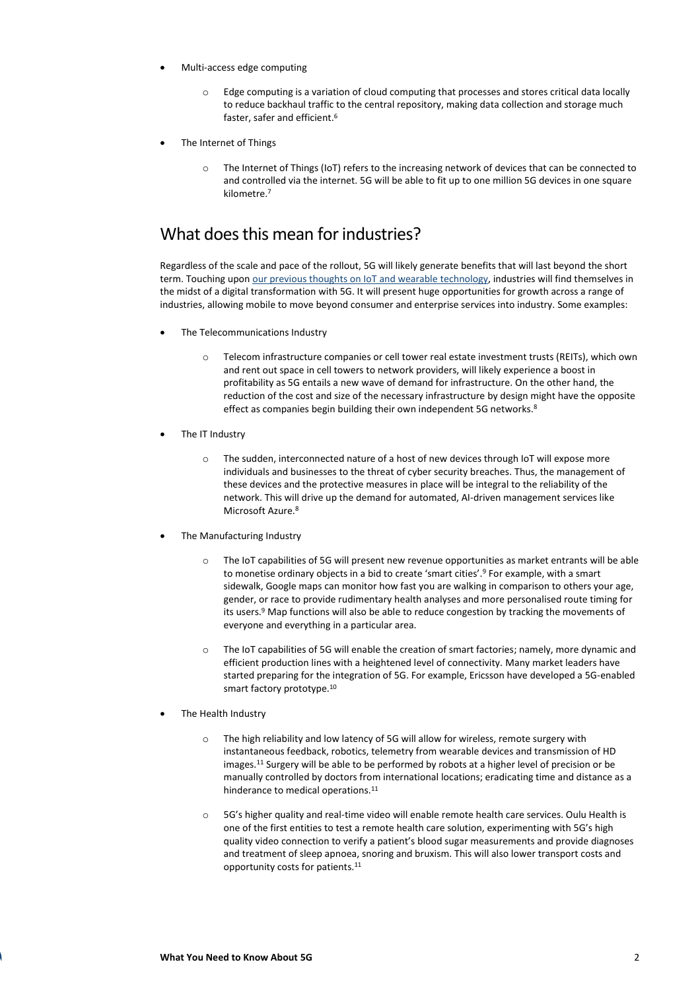- Multi-access edge computing
	- o Edge computing is a variation of cloud computing that processes and stores critical data locally to reduce backhaul traffic to the central repository, making data collection and storage much faster, safer and efficient.<sup>6</sup>
- The Internet of Things
	- o The Internet of Things (IoT) refers to the increasing network of devices that can be connected to and controlled via the internet. 5G will be able to fit up to one million 5G devices in one square kilometre<sup>7</sup>

#### What does this mean for industries?

Regardless of the scale and pace of the rollout, 5G will likely generate benefits that will last beyond the short term. Touching upo[n our previous thoughts on IoT and wearable technology,](https://colvinconsulting.com.au/index.php/insights/the-new-era-of-hyperconnectivity-internet-of-things-iot-and-wearables) industries will find themselves in the midst of a digital transformation with 5G. It will present huge opportunities for growth across a range of industries, allowing mobile to move beyond consumer and enterprise services into industry. Some examples:

- The Telecommunications Industry
	- o Telecom infrastructure companies or cell tower real estate investment trusts (REITs), which own and rent out space in cell towers to network providers, will likely experience a boost in profitability as 5G entails a new wave of demand for infrastructure. On the other hand, the reduction of the cost and size of the necessary infrastructure by design might have the opposite effect as companies begin building their own independent 5G networks.<sup>8</sup>
- The IT Industry
	- o The sudden, interconnected nature of a host of new devices through IoT will expose more individuals and businesses to the threat of cyber security breaches. Thus, the management of these devices and the protective measures in place will be integral to the reliability of the network. This will drive up the demand for automated, AI-driven management services like Microsoft Azure.<sup>8</sup>
- The Manufacturing Industry
	- o The IoT capabilities of 5G will present new revenue opportunities as market entrants will be able to monetise ordinary objects in a bid to create 'smart cities'.<sup>9</sup> For example, with a smart sidewalk, Google maps can monitor how fast you are walking in comparison to others your age, gender, or race to provide rudimentary health analyses and more personalised route timing for its users.<sup>9</sup> Map functions will also be able to reduce congestion by tracking the movements of everyone and everything in a particular area.
	- o The IoT capabilities of 5G will enable the creation of smart factories; namely, more dynamic and efficient production lines with a heightened level of connectivity. Many market leaders have started preparing for the integration of 5G. For example, Ericsson have developed a 5G-enabled smart factory prototype. 10
- The Health Industry
	- o The high reliability and low latency of 5G will allow for wireless, remote surgery with instantaneous feedback, robotics, telemetry from wearable devices and transmission of HD images.<sup>11</sup> Surgery will be able to be performed by robots at a higher level of precision or be manually controlled by doctors from international locations; eradicating time and distance as a hinderance to medical operations.<sup>11</sup>
	- o 5G's higher quality and real-time video will enable remote health care services. Oulu Health is one of the first entities to test a remote health care solution, experimenting with 5G's high quality video connection to verify a patient's blood sugar measurements and provide diagnoses and treatment of sleep apnoea, snoring and bruxism. This will also lower transport costs and opportunity costs for patients.11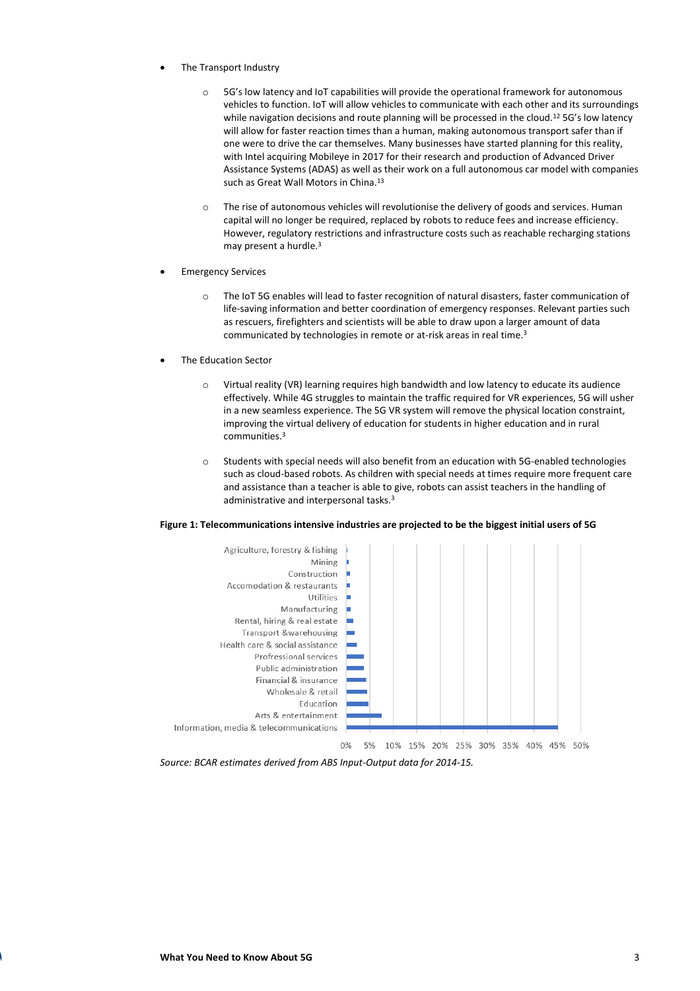- The Transport Industry
	- o 5G's low latency and IoT capabilities will provide the operational framework for autonomous vehicles to function. IoT will allow vehicles to communicate with each other and its surroundings while navigation decisions and route planning will be processed in the cloud.<sup>12</sup> 5G's low latency will allow for faster reaction times than a human, making autonomous transport safer than if one were to drive the car themselves. Many businesses have started planning for this reality, with Intel acquiring Mobileye in 2017 for their research and production of Advanced Driver Assistance Systems (ADAS) as well as their work on a full autonomous car model with companies such as Great Wall Motors in China.<sup>13</sup>
	- The rise of autonomous vehicles will revolutionise the delivery of goods and services. Human capital will no longer be required, replaced by robots to reduce fees and increase efficiency. However, regulatory restrictions and infrastructure costs such as reachable recharging stations may present a hurdle.<sup>3</sup>
- **Emergency Services** 
	- o The IoT 5G enables will lead to faster recognition of natural disasters, faster communication of life-saving information and better coordination of emergency responses. Relevant parties such as rescuers, firefighters and scientists will be able to draw upon a larger amount of data communicated by technologies in remote or at-risk areas in real time.<sup>3</sup>
- The Education Sector
	- o Virtual reality (VR) learning requires high bandwidth and low latency to educate its audience effectively. While 4G struggles to maintain the traffic required for VR experiences, 5G will usher in a new seamless experience. The 5G VR system will remove the physical location constraint, improving the virtual delivery of education for students in higher education and in rural communities.<sup>3</sup>
	- o Students with special needs will also benefit from an education with 5G-enabled technologies such as cloud-based robots. As children with special needs at times require more frequent care and assistance than a teacher is able to give, robots can assist teachers in the handling of administrative and interpersonal tasks.<sup>3</sup>

#### **Figure 1: Telecommunications intensive industries are projected to be the biggest initial users of 5G**



*Source: BCAR estimates derived from ABS Input-Output data for 2014-15.*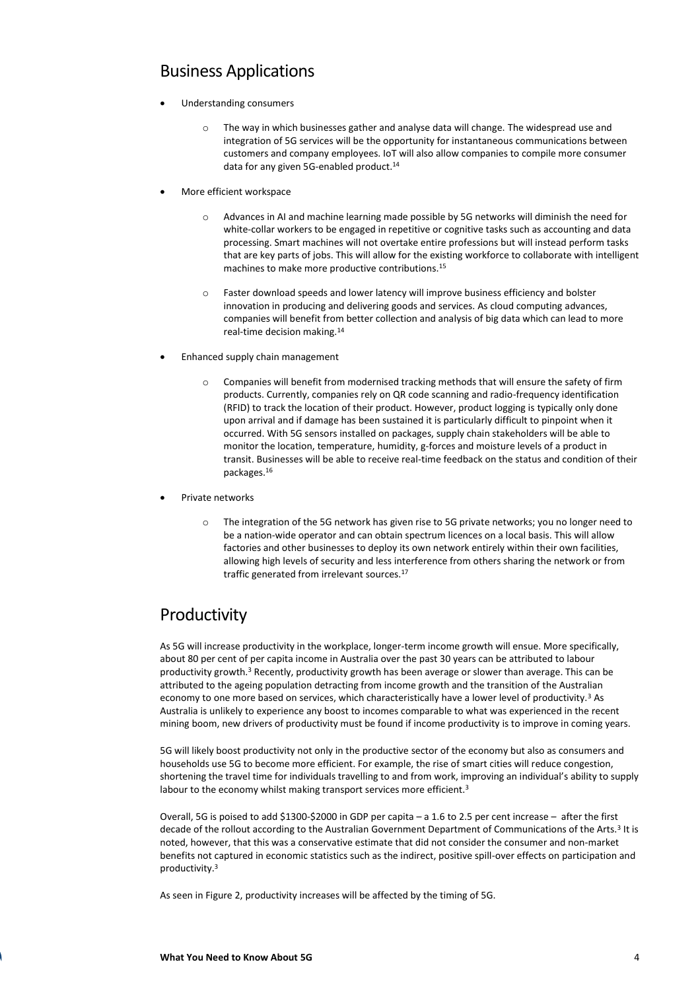#### Business Applications

- Understanding consumers
	- o The way in which businesses gather and analyse data will change. The widespread use and integration of 5G services will be the opportunity for instantaneous communications between customers and company employees. IoT will also allow companies to compile more consumer data for any given 5G-enabled product.<sup>14</sup>
- More efficient workspace
	- o Advances in AI and machine learning made possible by 5G networks will diminish the need for white-collar workers to be engaged in repetitive or cognitive tasks such as accounting and data processing. Smart machines will not overtake entire professions but will instead perform tasks that are key parts of jobs. This will allow for the existing workforce to collaborate with intelligent machines to make more productive contributions.<sup>15</sup>
	- o Faster download speeds and lower latency will improve business efficiency and bolster innovation in producing and delivering goods and services. As cloud computing advances, companies will benefit from better collection and analysis of big data which can lead to more real-time decision making.<sup>14</sup>
- Enhanced supply chain management
	- o Companies will benefit from modernised tracking methods that will ensure the safety of firm products. Currently, companies rely on QR code scanning and radio-frequency identification (RFID) to track the location of their product. However, product logging is typically only done upon arrival and if damage has been sustained it is particularly difficult to pinpoint when it occurred. With 5G sensors installed on packages, supply chain stakeholders will be able to monitor the location, temperature, humidity, g-forces and moisture levels of a product in transit. Businesses will be able to receive real-time feedback on the status and condition of their packages.<sup>16</sup>
- Private networks
	- o The integration of the 5G network has given rise to 5G private networks; you no longer need to be a nation-wide operator and can obtain spectrum licences on a local basis. This will allow factories and other businesses to deploy its own network entirely within their own facilities, allowing high levels of security and less interference from others sharing the network or from traffic generated from irrelevant sources.<sup>17</sup>

### Productivity

As 5G will increase productivity in the workplace, longer-term income growth will ensue. More specifically, about 80 per cent of per capita income in Australia over the past 30 years can be attributed to labour productivity growth.<sup>3</sup> Recently, productivity growth has been average or slower than average. This can be attributed to the ageing population detracting from income growth and the transition of the Australian economy to one more based on services, which characteristically have a lower level of productivity.<sup>3</sup> As Australia is unlikely to experience any boost to incomes comparable to what was experienced in the recent mining boom, new drivers of productivity must be found if income productivity is to improve in coming years.

5G will likely boost productivity not only in the productive sector of the economy but also as consumers and households use 5G to become more efficient. For example, the rise of smart cities will reduce congestion, shortening the travel time for individuals travelling to and from work, improving an individual's ability to supply labour to the economy whilst making transport services more efficient.<sup>3</sup>

Overall, 5G is poised to add \$1300-\$2000 in GDP per capita – a 1.6 to 2.5 per cent increase – after the first decade of the rollout according to the Australian Government Department of Communications of the Arts.<sup>3</sup> It is noted, however, that this was a conservative estimate that did not consider the consumer and non-market benefits not captured in economic statistics such as the indirect, positive spill-over effects on participation and productivity.<sup>3</sup>

As seen in Figure 2, productivity increases will be affected by the timing of 5G.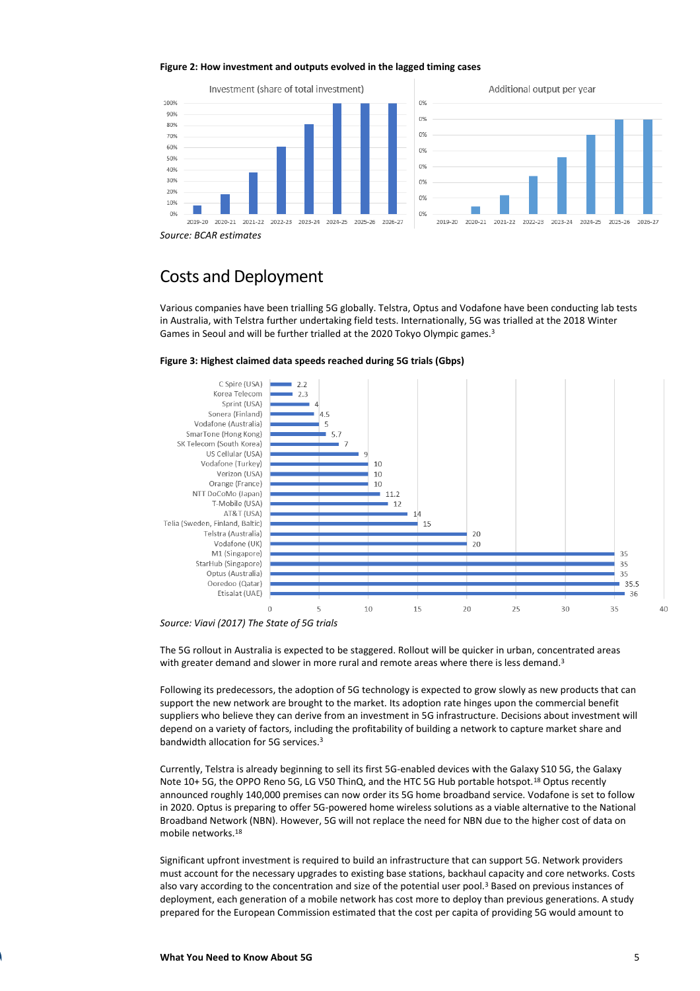#### **Figure 2: How investment and outputs evolved in the lagged timing cases**



*Source: BCAR estimates*

#### Costs and Deployment

Various companies have been trialling 5G globally. Telstra, Optus and Vodafone have been conducting lab tests in Australia, with Telstra further undertaking field tests. Internationally, 5G was trialled at the 2018 Winter Games in Seoul and will be further trialled at the 2020 Tokyo Olympic games.<sup>3</sup>





*Source: Viavi (2017) The State of 5G trials*

The 5G rollout in Australia is expected to be staggered. Rollout will be quicker in urban, concentrated areas with greater demand and slower in more rural and remote areas where there is less demand.<sup>3</sup>

Following its predecessors, the adoption of 5G technology is expected to grow slowly as new products that can support the new network are brought to the market. Its adoption rate hinges upon the commercial benefit suppliers who believe they can derive from an investment in 5G infrastructure. Decisions about investment will depend on a variety of factors, including the profitability of building a network to capture market share and bandwidth allocation for 5G services.<sup>3</sup>

Currently, Telstra is already beginning to sell its first 5G-enabled devices with the Galaxy S10 5G, the Galaxy Note 10+ 5G, the OPPO Reno 5G, LG V50 ThinQ, and the HTC 5G Hub portable hotspot.<sup>18</sup> Optus recently announced roughly 140,000 premises can now order its 5G home broadband service. Vodafone is set to follow in 2020. Optus is preparing to offer 5G-powered home wireless solutions as a viable alternative to the National Broadband Network (NBN). However, 5G will not replace the need for NBN due to the higher cost of data on mobile networks.<sup>18</sup>

Significant upfront investment is required to build an infrastructure that can support 5G. Network providers must account for the necessary upgrades to existing base stations, backhaul capacity and core networks. Costs also vary according to the concentration and size of the potential user pool.<sup>3</sup> Based on previous instances of deployment, each generation of a mobile network has cost more to deploy than previous generations. A study prepared for the European Commission estimated that the cost per capita of providing 5G would amount to

40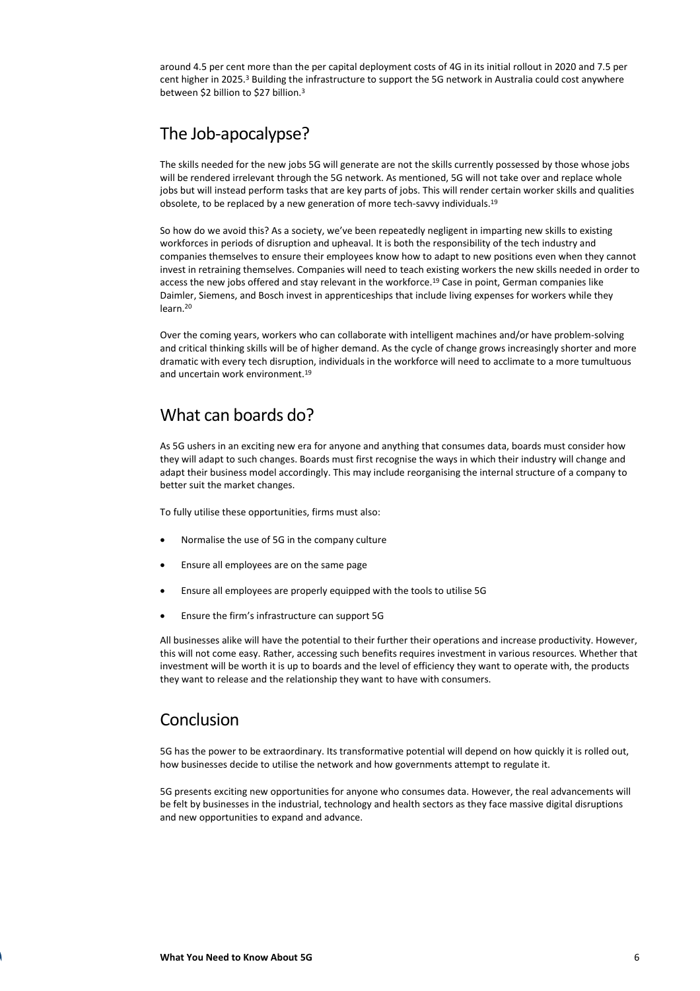around 4.5 per cent more than the per capital deployment costs of 4G in its initial rollout in 2020 and 7.5 per cent higher in 2025.<sup>3</sup> Building the infrastructure to support the 5G network in Australia could cost anywhere between \$2 billion to \$27 billion.<sup>3</sup>

### The Job-apocalypse?

The skills needed for the new jobs 5G will generate are not the skills currently possessed by those whose jobs will be rendered irrelevant through the 5G network. As mentioned, 5G will not take over and replace whole jobs but will instead perform tasks that are key parts of jobs. This will render certain worker skills and qualities obsolete, to be replaced by a new generation of more tech-savvy individuals.<sup>19</sup>

So how do we avoid this? As a society, we've been repeatedly negligent in imparting new skills to existing workforces in periods of disruption and upheaval. It is both the responsibility of the tech industry and companies themselves to ensure their employees know how to adapt to new positions even when they cannot invest in retraining themselves. Companies will need to teach existing workers the new skills needed in order to access the new jobs offered and stay relevant in the workforce.<sup>19</sup> Case in point, German companies like Daimler, Siemens, and Bosch invest in apprenticeships that include living expenses for workers while they learn.<sup>20</sup>

Over the coming years, workers who can collaborate with intelligent machines and/or have problem-solving and critical thinking skills will be of higher demand. As the cycle of change grows increasingly shorter and more dramatic with every tech disruption, individuals in the workforce will need to acclimate to a more tumultuous and uncertain work environment.<sup>19</sup>

#### What can boards do?

As 5G ushers in an exciting new era for anyone and anything that consumes data, boards must consider how they will adapt to such changes. Boards must first recognise the ways in which their industry will change and adapt their business model accordingly. This may include reorganising the internal structure of a company to better suit the market changes.

To fully utilise these opportunities, firms must also:

- Normalise the use of 5G in the company culture
- Ensure all employees are on the same page
- Ensure all employees are properly equipped with the tools to utilise 5G
- Ensure the firm's infrastructure can support 5G

All businesses alike will have the potential to their further their operations and increase productivity. However, this will not come easy. Rather, accessing such benefits requires investment in various resources. Whether that investment will be worth it is up to boards and the level of efficiency they want to operate with, the products they want to release and the relationship they want to have with consumers.

#### Conclusion

5G has the power to be extraordinary. Its transformative potential will depend on how quickly it is rolled out, how businesses decide to utilise the network and how governments attempt to regulate it.

5G presents exciting new opportunities for anyone who consumes data. However, the real advancements will be felt by businesses in the industrial, technology and health sectors as they face massive digital disruptions and new opportunities to expand and advance.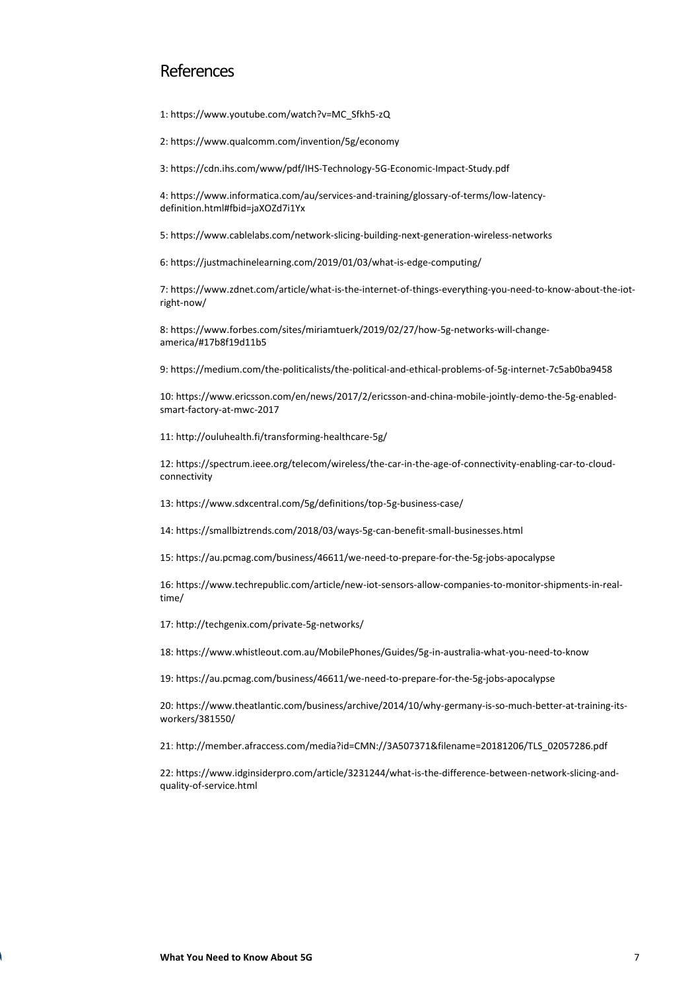#### **References**

1: https://www.youtube.com/watch?v=MC\_Sfkh5-zQ

2: https://www.qualcomm.com/invention/5g/economy

3: https://cdn.ihs.com/www/pdf/IHS-Technology-5G-Economic-Impact-Study.pdf

4: https://www.informatica.com/au/services-and-training/glossary-of-terms/low-latencydefinition.html#fbid=jaXOZd7i1Yx

5: https://www.cablelabs.com/network-slicing-building-next-generation-wireless-networks

6: https://justmachinelearning.com/2019/01/03/what-is-edge-computing/

7: https://www.zdnet.com/article/what-is-the-internet-of-things-everything-you-need-to-know-about-the-iotright-now/

8: https://www.forbes.com/sites/miriamtuerk/2019/02/27/how-5g-networks-will-changeamerica/#17b8f19d11b5

9: https://medium.com/the-politicalists/the-political-and-ethical-problems-of-5g-internet-7c5ab0ba9458

10: https://www.ericsson.com/en/news/2017/2/ericsson-and-china-mobile-jointly-demo-the-5g-enabledsmart-factory-at-mwc-2017

11: http://ouluhealth.fi/transforming-healthcare-5g/

12: https://spectrum.ieee.org/telecom/wireless/the-car-in-the-age-of-connectivity-enabling-car-to-cloudconnectivity

13: https://www.sdxcentral.com/5g/definitions/top-5g-business-case/

14: https://smallbiztrends.com/2018/03/ways-5g-can-benefit-small-businesses.html

15: https://au.pcmag.com/business/46611/we-need-to-prepare-for-the-5g-jobs-apocalypse

16: https://www.techrepublic.com/article/new-iot-sensors-allow-companies-to-monitor-shipments-in-realtime/

17: http://techgenix.com/private-5g-networks/

18: https://www.whistleout.com.au/MobilePhones/Guides/5g-in-australia-what-you-need-to-know

19: https://au.pcmag.com/business/46611/we-need-to-prepare-for-the-5g-jobs-apocalypse

20: https://www.theatlantic.com/business/archive/2014/10/why-germany-is-so-much-better-at-training-itsworkers/381550/

21: http://member.afraccess.com/media?id=CMN://3A507371&filename=20181206/TLS\_02057286.pdf

22: https://www.idginsiderpro.com/article/3231244/what-is-the-difference-between-network-slicing-andquality-of-service.html